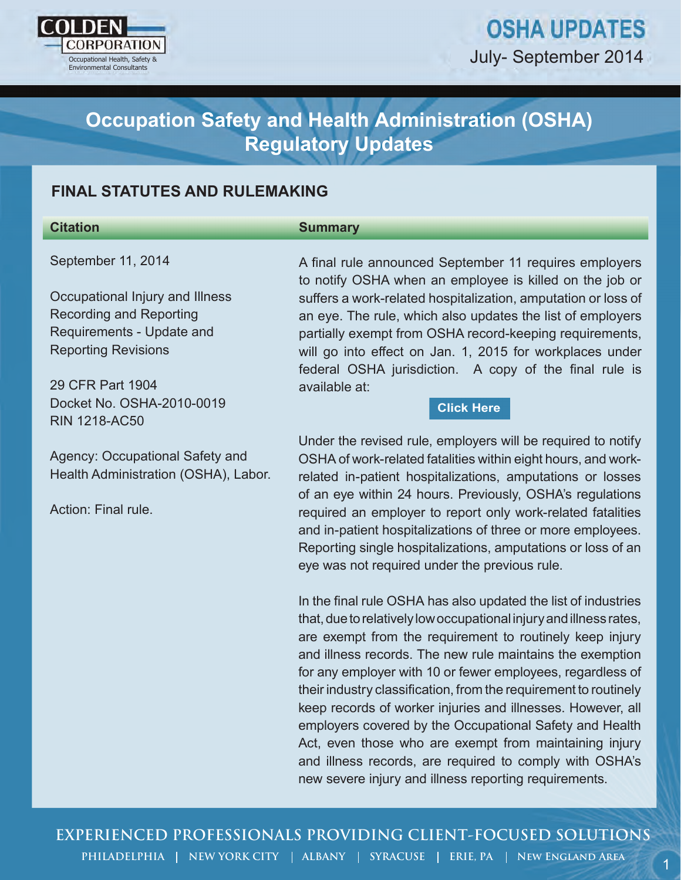

# **OSHA UPDATES** July- September 2014

## **Occupation Safety and Health Administration (OSHA) Regulatory Updates**

## **FINAL STATUTES AND RULEMAKING**

#### **Citation**

#### **Summary**

September 11, 2014

Occupational Injury and Illness Recording and Reporting Requirements - Update and Reporting Revisions

29 CFR Part 1904 Docket No. OSHA-2010-0019 RIN 1218-AC50

Agency: Occupational Safety and Health Administration (OSHA), Labor.

Action: Final rule.

A final rule announced September 11 requires employers to notify OSHA when an employee is killed on the job or suffers a work-related hospitalization, amputation or loss of an eye. The rule, which also updates the list of employers partially exempt from OSHA record-keeping requirements, will go into effect on Jan. 1, 2015 for workplaces under federal OSHA jurisdiction. A copy of the final rule is available at:

#### **[Click Here](https://www.osha.gov/recordkeeping2014/NAICSReporting.pdf)**

Under the revised rule, employers will be required to notify OSHA of work-related fatalities within eight hours, and workrelated in-patient hospitalizations, amputations or losses of an eye within 24 hours. Previously, OSHA's regulations required an employer to report only work-related fatalities and in-patient hospitalizations of three or more employees. Reporting single hospitalizations, amputations or loss of an eye was not required under the previous rule.

oury-september 2014<br>
3 Cocupation Safety and Health Administration (OSHA)<br>
Regulatory Updates<br>
NAL STATUTES AND RULEMAKING<br>
strangenton<br>
there is the first procedure of september 11 requires employees<br>
strangential the pr In the final rule OSHA has also updated the list of industries that, due to relatively low occupational injury and illness rates, are exempt from the requirement to routinely keep injury and illness records. The new rule maintains the exemption for any employer with 10 or fewer employees, regardless of their industry classification, from the requirement to routinely keep records of worker injuries and illnesses. However, all employers covered by the Occupational Safety and Health Act, even those who are exempt from maintaining injury and illness records, are required to comply with OSHA's new severe injury and illness reporting requirements.

**EXPERIENCED PROFESSIONALS PROVIDING CLIENT-FOCUSED SOLUTIONS**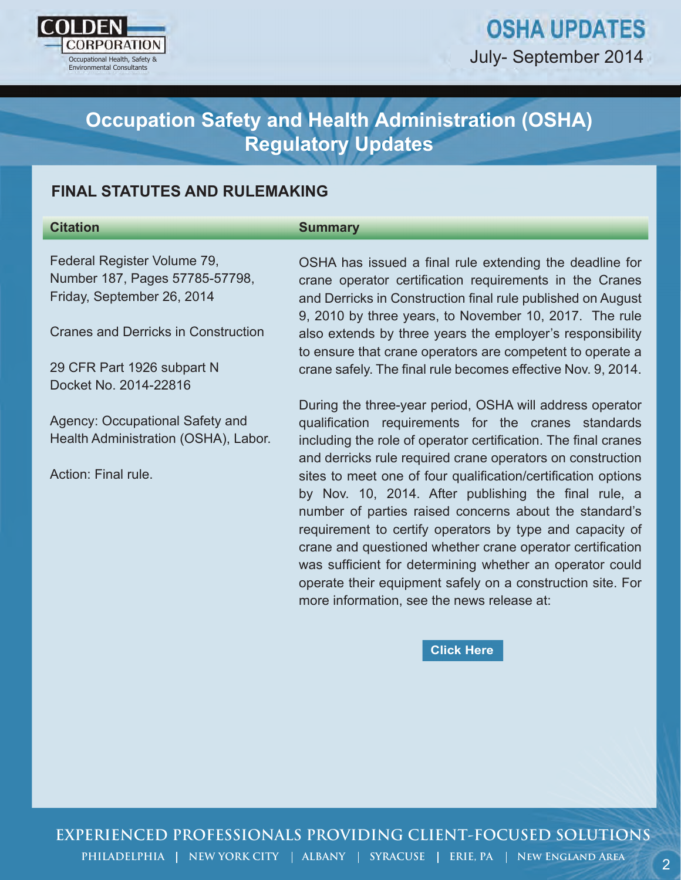

# **OSHA UPDATES** July- September 2014

## **Occupation Safety and Health Administration (OSHA) Regulatory Updates**

## **FINAL STATUTES AND RULEMAKING**

## **Citation**

#### **Summary**

Federal Register Volume 79, Number 187, Pages 57785-57798, Friday, September 26, 2014

Cranes and Derricks in Construction

29 CFR Part 1926 subpart N Docket No. 2014-22816

Agency: Occupational Safety and Health Administration (OSHA), Labor.

Action: Final rule.

OSHA has issued a final rule extending the deadline for crane operator certification requirements in the Cranes and Derricks in Construction final rule published on August 9, 2010 by three years, to November 10, 2017. The rule also extends by three years the employer's responsibility to ensure that crane operators are competent to operate a crane safely. The final rule becomes effective Nov. 9, 2014.

Cocupation Safety and Health Administration (OSHA)<br>
Regulatory Updates<br>
NAL STATUTES AND RULEMAKING<br>
Summary<br>
Variation Summary<br>
Variation consultants and the extending the desdine for<br>
their 187. Pages 67786-37798,<br>
Cons During the three-year period, OSHA will address operator qualification requirements for the cranes standards including the role of operator certification. The final cranes and derricks rule required crane operators on construction sites to meet one of four qualification/certification options by Nov. 10, 2014. After publishing the final rule, a number of parties raised concerns about the standard's requirement to certify operators by type and capacity of crane and questioned whether crane operator certification was sufficient for determining whether an operator could operate their equipment safely on a construction site. For more information, see the news release at:

#### **[Click Here](https://www.osha.gov/pls/oshaweb/owadisp.show_document?p_table=NEWS_RELEASES&p_id=26760)**

**EXPERIENCED PROFESSIONALS PROVIDING CLIENT-FOCUSED SOLUTIONS**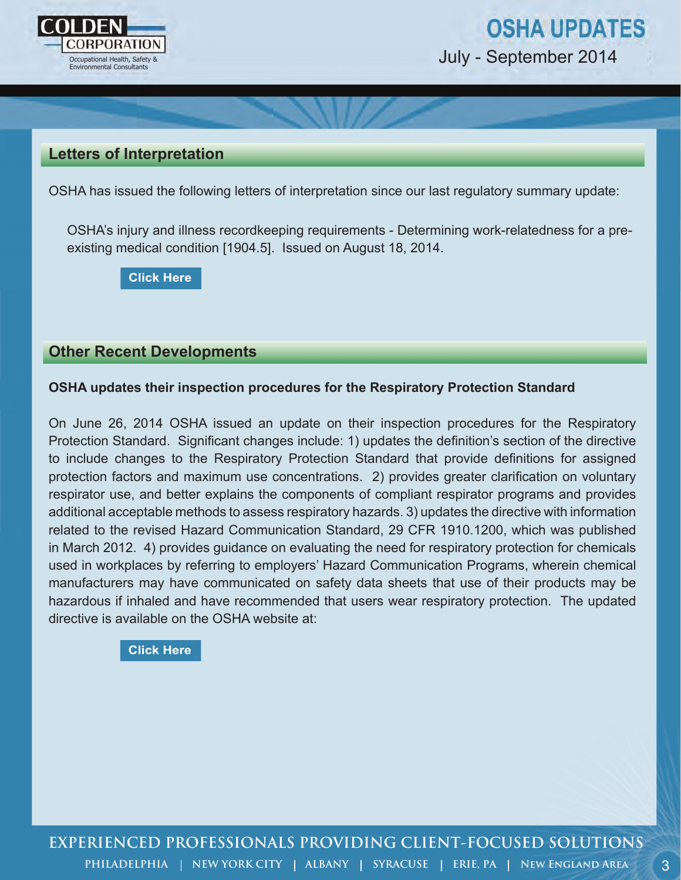

July - September 2014

### **Letters of Interpretation**

OSHA has issued the following letters of interpretation since our last regulatory summary update:

 OSHA's injury and illness recordkeeping requirements - Determining work-relatedness for a pre existing medical condition [1904.5]. Issued on August 18, 2014.

**[Click Here](o	https://www.osha.gov/pls/oshaweb/owadisp.show_document?p_table=INTERPRETATIONS&p_id=29180)**

#### **Other Recent Developments**

#### **OSHA updates their inspection procedures for the Respiratory Protection Standard**

On June 26, 2014 OSHA issued an update on their inspection procedures for the Respiratory Protection Standard. Significant changes include: 1) updates the definition's section of the directive to include changes to the Respiratory Protection Standard that provide definitions for assigned protection factors and maximum use concentrations. 2) provides greater clarification on voluntary respirator use, and better explains the components of compliant respirator programs and provides additional acceptable methods to assess respiratory hazards. 3) updates the directive with information related to the revised Hazard Communication Standard, 29 CFR 1910.1200, which was published in March 2012. 4) provides guidance on evaluating the need for respiratory protection for chemicals used in workplaces by referring to employers' Hazard Communication Programs, wherein chemical manufacturers may have communicated on safety data sheets that use of their products may be hazardous if inhaled and have recommended that users wear respiratory protection. The updated directive is available on the OSHA website at: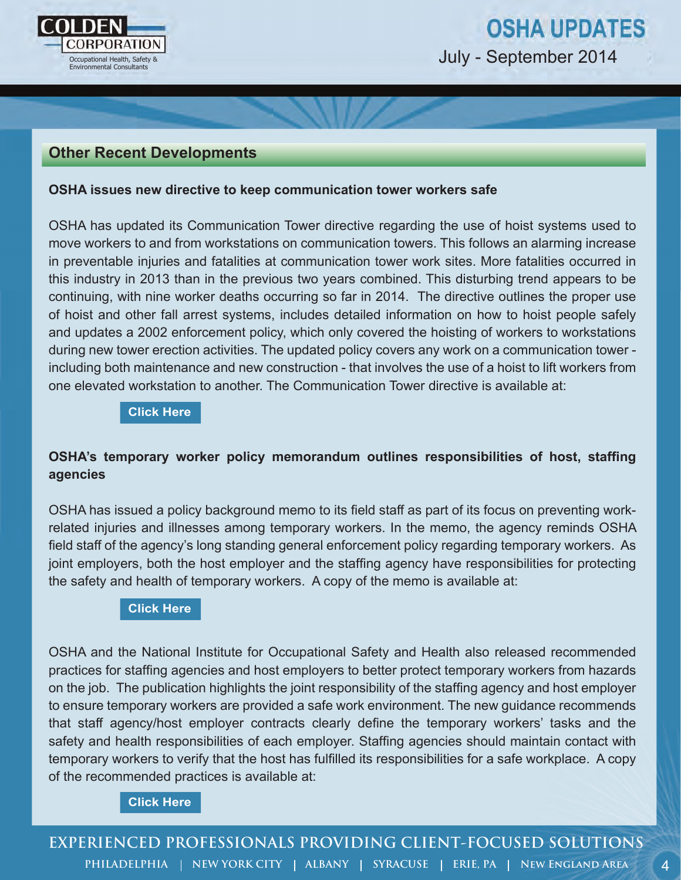

## **Other Recent Developments**

#### **OSHA issues new directive to keep communication tower workers safe**

OSHA has updated its Communication Tower directive regarding the use of hoist systems used to move workers to and from workstations on communication towers. This follows an alarming increase in preventable injuries and fatalities at communication tower work sites. More fatalities occurred in this industry in 2013 than in the previous two years combined. This disturbing trend appears to be continuing, with nine worker deaths occurring so far in 2014. The directive outlines the proper use of hoist and other fall arrest systems, includes detailed information on how to hoist people safely and updates a 2002 enforcement policy, which only covered the hoisting of workers to workstations during new tower erection activities. The updated policy covers any work on a communication tower including both maintenance and new construction - that involves the use of a hoist to lift workers from one elevated workstation to another. The Communication Tower directive is available at:

#### **[Click Here](https://www.osha.gov/OshDoc/Directive_pdf/CPL_02-01-056.pdf)**

### **OSHA's temporary worker policy memorandum outlines responsibilities of host, staffing agencies**

OSHA has issued a policy background memo to its field staff as part of its focus on preventing workrelated injuries and illnesses among temporary workers. In the memo, the agency reminds OSHA field staff of the agency's long standing general enforcement policy regarding temporary workers. As joint employers, both the host employer and the staffing agency have responsibilities for protecting the safety and health of temporary workers. A copy of the memo is available at:

#### **[Click Here](https://www.osha.gov/temp_workers/Policy_Background_on_the_Temporary_Worker_Initiative.html)**

OSHA and the National Institute for Occupational Safety and Health also released recommended practices for staffing agencies and host employers to better protect temporary workers from hazards on the job. The publication highlights the joint responsibility of the staffing agency and host employer to ensure temporary workers are provided a safe work environment. The new guidance recommends that staff agency/host employer contracts clearly define the temporary workers' tasks and the safety and health responsibilities of each employer. Staffing agencies should maintain contact with temporary workers to verify that the host has fulfilled its responsibilities for a safe workplace. A copy of the recommended practices is available at: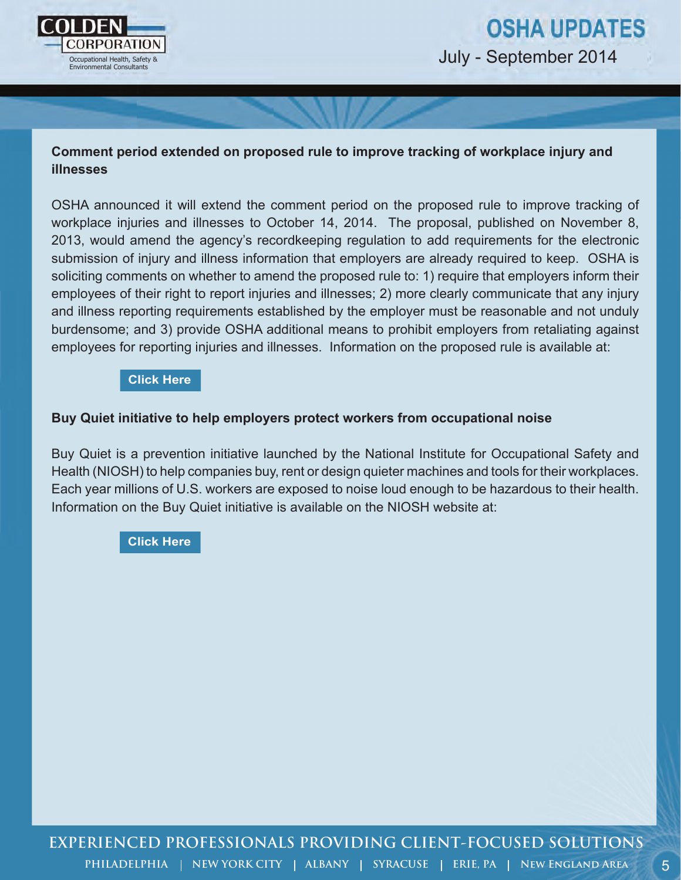

5

## **Comment period extended on proposed rule to improve tracking of workplace injury and illnesses**

OSHA announced it will extend the comment period on the proposed rule to improve tracking of workplace injuries and illnesses to October 14, 2014. The proposal, published on November 8, 2013, would amend the agency's recordkeeping regulation to add requirements for the electronic submission of injury and illness information that employers are already required to keep. OSHA is soliciting comments on whether to amend the proposed rule to: 1) require that employers inform their employees of their right to report injuries and illnesses; 2) more clearly communicate that any injury and illness reporting requirements established by the employer must be reasonable and not unduly burdensome; and 3) provide OSHA additional means to prohibit employers from retaliating against employees for reporting injuries and illnesses. Information on the proposed rule is available at:

#### **[Click Here](http://www.regulations.gov/#!documentDetail;D=OSHA-2013-0023-0001)**

#### **Buy Quiet initiative to help employers protect workers from occupational noise**

Buy Quiet is a prevention initiative launched by the National Institute for Occupational Safety and Health (NIOSH) to help companies buy, rent or design quieter machines and tools for their workplaces. Each year millions of U.S. workers are exposed to noise loud enough to be hazardous to their health. Information on the Buy Quiet initiative is available on the NIOSH website at: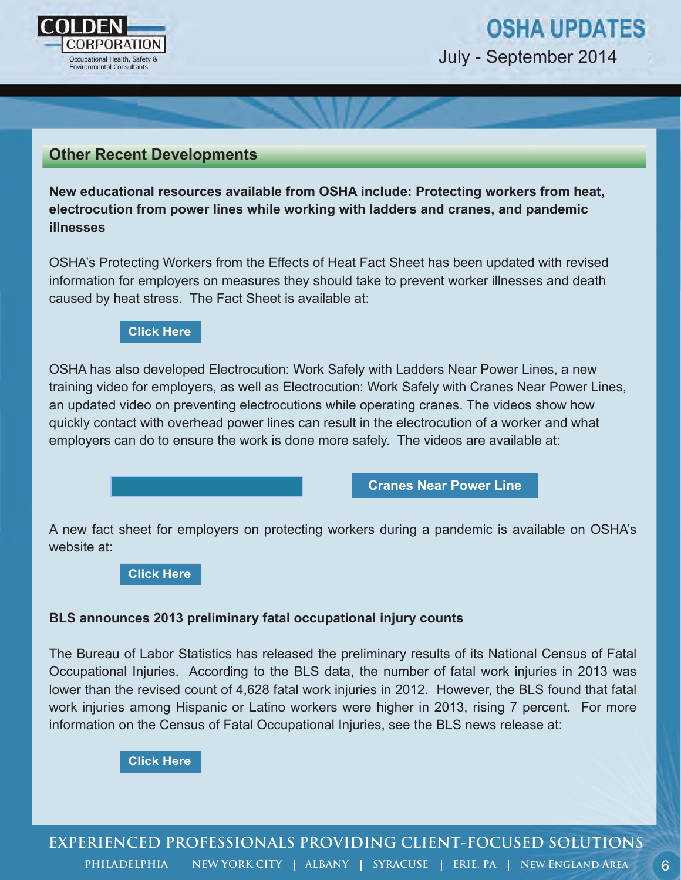

## **OSHA UPDATES** July - September 2014

### **Other Recent Developments**

**New educational resources available from OSHA include: Protecting workers from heat, electrocution from power lines while working with ladders and cranes, and pandemic illnesses**

OSHA's Protecting Workers from the Effects of Heat Fact Sheet has been updated with revised information for employers on measures they should take to prevent worker illnesses and death caused by heat stress. The Fact Sheet is available at:

#### **[Click Here](https://www.osha.gov/OshDoc/data_Hurricane_Facts/heat_stress.pdf)**

OSHA has also developed Electrocution: Work Safely with Ladders Near Power Lines, a new training video for employers, as well as Electrocution: Work Safely with Cranes Near Power Lines, an updated video on preventing electrocutions while operating cranes. The videos show how quickly contact with overhead power lines can result in the electrocution of a worker and what employers can do to ensure the work is done more safely. The videos are available at:

**[Cranes Near Power Line](https://www.osha.gov/dts/vtools/construction/crane_powerline_fnl_eng_web.html)**

A new fact sheet for employers on protecting workers during a pandemic is available on OSHA's website at:

**[Click Here](https://www.osha.gov/Publications/OSHAFS-3747.pdf)**

#### **BLS announces 2013 preliminary fatal occupational injury counts**

The Bureau of Labor Statistics has released the preliminary results of its National Census of Fatal Occupational Injuries. According to the BLS data, the number of fatal work injuries in 2013 was lower than the revised count of 4,628 fatal work injuries in 2012. However, the BLS found that fatal work injuries among Hispanic or Latino workers were higher in 2013, rising 7 percent. For more information on the Census of Fatal Occupational Injuries, see the BLS news release at:

**[Click Here](http://www.bls.gov/news.release/cfoi.nr0.htm)**

**EXPERIENCED PROFESSIONALS PROVIDING CLIENT-FOCUSED SOLUTIONS** PHILADELPHIA | NEW YORK CITY | ALBANY | SYRACUSE | ERIE, PA | NEW ENGLAND AREA